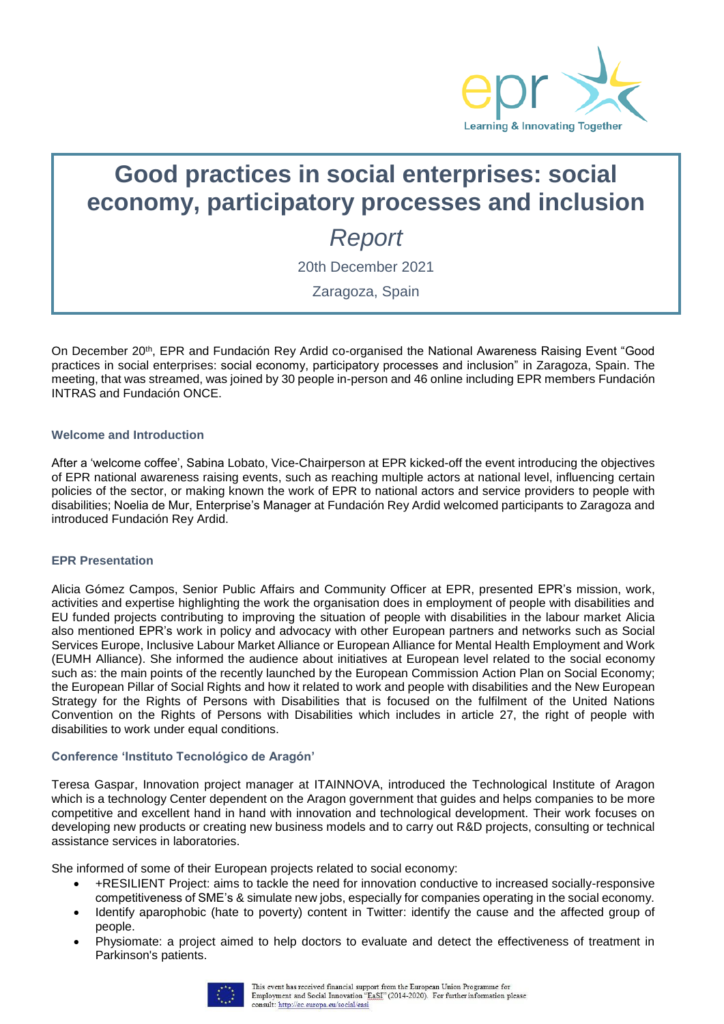

# **Good practices in social enterprises: social economy, participatory processes and inclusion**

*Report*

20th December 2021

Zaragoza, Spain

On December 20th, EPR and Fundación Rey Ardid co-organised the National Awareness Raising Event "Good practices in social enterprises: social economy, participatory processes and inclusion" in Zaragoza, Spain. The meeting, that was streamed, was joined by 30 people in-person and 46 online including EPR members Fundación INTRAS and Fundación ONCE.

# **Welcome and Introduction**

After a 'welcome coffee', Sabina Lobato, Vice-Chairperson at EPR kicked-off the event introducing the objectives of EPR national awareness raising events, such as reaching multiple actors at national level, influencing certain policies of the sector, or making known the work of EPR to national actors and service providers to people with disabilities; Noelia de Mur, Enterprise's Manager at Fundación Rey Ardid welcomed participants to Zaragoza and introduced Fundación Rey Ardid.

#### **EPR Presentation**

Alicia Gómez Campos, Senior Public Affairs and Community Officer at EPR, presented EPR's mission, work, activities and expertise highlighting the work the organisation does in employment of people with disabilities and EU funded projects contributing to improving the situation of people with disabilities in the labour market Alicia also mentioned EPR's work in policy and advocacy with other European partners and networks such as Social Services Europe, Inclusive Labour Market Alliance or European Alliance for Mental Health Employment and Work (EUMH Alliance). She informed the audience about initiatives at European level related to the social economy such as: the main points of the recently launched by the European Commission Action Plan on Social Economy; the European Pillar of Social Rights and how it related to work and people with disabilities and the New European Strategy for the Rights of Persons with Disabilities that is focused on the fulfilment of the United Nations Convention on the Rights of Persons with Disabilities which includes in article 27, the right of people with disabilities to work under equal conditions.

# **Conference 'Instituto Tecnológico de Aragón'**

Teresa Gaspar, Innovation project manager at ITAINNOVA, introduced the Technological Institute of Aragon which is a technology Center dependent on the Aragon government that guides and helps companies to be more competitive and excellent hand in hand with innovation and technological development. Their work focuses on developing new products or creating new business models and to carry out R&D projects, consulting or technical assistance services in laboratories.

She informed of some of their European projects related to social economy:

- +RESILIENT Project: aims to tackle the need for innovation conductive to increased socially-responsive competitiveness of SME's & simulate new jobs, especially for companies operating in the social economy.
- Identify aparophobic (hate to poverty) content in Twitter: identify the cause and the affected group of people.
- Physiomate: a project aimed to help doctors to evaluate and detect the effectiveness of treatment in Parkinson's patients.

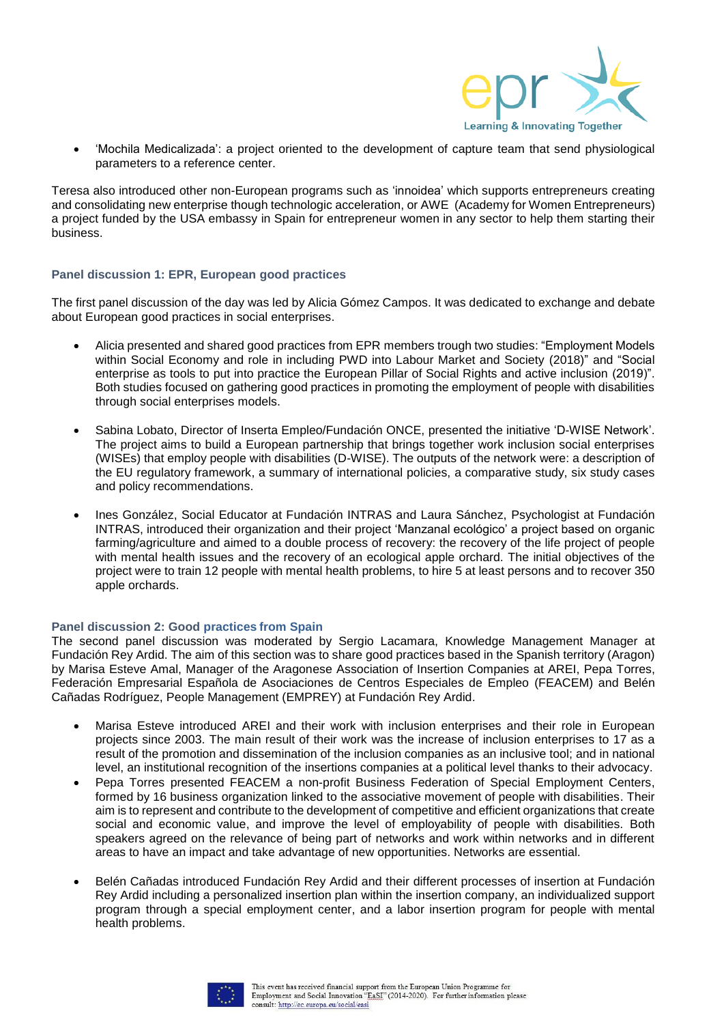

 'Mochila Medicalizada': a project oriented to the development of capture team that send physiological parameters to a reference center.

Teresa also introduced other non-European programs such as 'innoidea' which supports entrepreneurs creating and consolidating new enterprise though technologic acceleration, or AWE (Academy for Women Entrepreneurs) a project funded by the USA embassy in Spain for entrepreneur women in any sector to help them starting their business.

#### **Panel discussion 1: EPR, European good practices**

The first panel discussion of the day was led by Alicia Gómez Campos. It was dedicated to exchange and debate about European good practices in social enterprises.

- Alicia presented and shared good practices from EPR members trough two studies: "Employment Models within Social Economy and role in including PWD into Labour Market and Society (2018)" and "Social enterprise as tools to put into practice the European Pillar of Social Rights and active inclusion (2019)". Both studies focused on gathering good practices in promoting the employment of people with disabilities through social enterprises models.
- Sabina Lobato, Director of Inserta Empleo/Fundación ONCE, presented the initiative 'D-WISE Network'. The project aims to build a European partnership that brings together work inclusion social enterprises (WISEs) that employ people with disabilities (D-WISE). The outputs of the network were: a description of the EU regulatory framework, a summary of international policies, a comparative study, six study cases and policy recommendations.
- Ines González, Social Educator at Fundación INTRAS and Laura Sánchez, Psychologist at Fundación INTRAS, introduced their organization and their project 'Manzanal ecológico' a project based on organic farming/agriculture and aimed to a double process of recovery: the recovery of the life project of people with mental health issues and the recovery of an ecological apple orchard. The initial objectives of the project were to train 12 people with mental health problems, to hire 5 at least persons and to recover 350 apple orchards.

#### **Panel discussion 2: Good practices from Spain**

The second panel discussion was moderated by Sergio Lacamara, Knowledge Management Manager at Fundación Rey Ardid. The aim of this section was to share good practices based in the Spanish territory (Aragon) by Marisa Esteve Amal, Manager of the Aragonese Association of Insertion Companies at AREI, Pepa Torres, Federación Empresarial Española de Asociaciones de Centros Especiales de Empleo (FEACEM) and Belén Cañadas Rodríguez, People Management (EMPREY) at Fundación Rey Ardid.

- Marisa Esteve introduced AREI and their work with inclusion enterprises and their role in European projects since 2003. The main result of their work was the increase of inclusion enterprises to 17 as a result of the promotion and dissemination of the inclusion companies as an inclusive tool; and in national level, an institutional recognition of the insertions companies at a political level thanks to their advocacy.
- Pepa Torres presented FEACEM a non-profit Business Federation of Special Employment Centers, formed by 16 business organization linked to the associative movement of people with disabilities. Their aim is to represent and contribute to the development of competitive and efficient organizations that create social and economic value, and improve the level of employability of people with disabilities. Both speakers agreed on the relevance of being part of networks and work within networks and in different areas to have an impact and take advantage of new opportunities. Networks are essential.
- Belén Cañadas introduced Fundación Rey Ardid and their different processes of insertion at Fundación Rey Ardid including a personalized insertion plan within the insertion company, an individualized support program through a special employment center, and a labor insertion program for people with mental health problems.